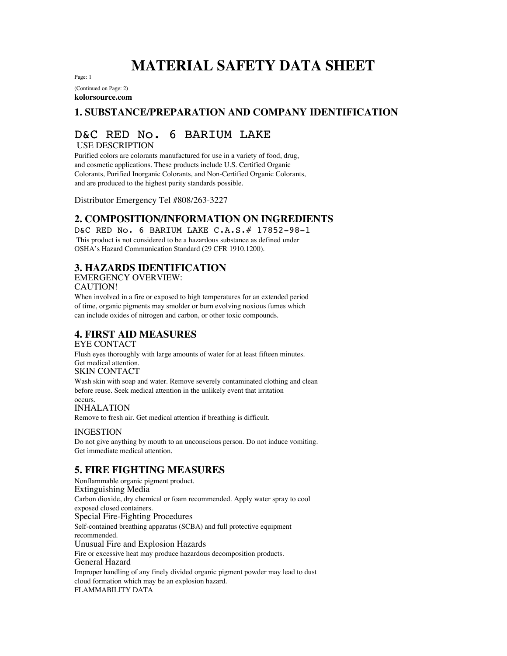# **MATERIAL SAFETY DATA SHEET**

Page: 1

(Continued on Page: 2) **kolorsource.com**

## **1. SUBSTANCE/PREPARATION AND COMPANY IDENTIFICATION**

## D&C RED No. 6 BARIUM LAKE

USE DESCRIPTION

Purified colors are colorants manufactured for use in a variety of food, drug, and cosmetic applications. These products include U.S. Certified Organic Colorants, Purified Inorganic Colorants, and Non-Certified Organic Colorants, and are produced to the highest purity standards possible.

Distributor Emergency Tel #808/263-3227

## **2. COMPOSITION/INFORMATION ON INGREDIENTS**

D&C RED No. 6 BARIUM LAKE C.A.S.# 17852-98-1 This product is not considered to be a hazardous substance as defined under OSHA's Hazard Communication Standard (29 CFR 1910.1200).

## **3. HAZARDS IDENTIFICATION**

EMERGENCY OVERVIEW:

CAUTION!

When involved in a fire or exposed to high temperatures for an extended period of time, organic pigments may smolder or burn evolving noxious fumes which can include oxides of nitrogen and carbon, or other toxic compounds.

## **4. FIRST AID MEASURES**

EYE CONTACT

Flush eyes thoroughly with large amounts of water for at least fifteen minutes. Get medical attention. SKIN CONTACT

Wash skin with soap and water. Remove severely contaminated clothing and clean before reuse. Seek medical attention in the unlikely event that irritation occurs.

INHALATION

Remove to fresh air. Get medical attention if breathing is difficult.

#### INGESTION

Do not give anything by mouth to an unconscious person. Do not induce vomiting. Get immediate medical attention.

#### **5. FIRE FIGHTING MEASURES**

Nonflammable organic pigment product. Extinguishing Media Carbon dioxide, dry chemical or foam recommended. Apply water spray to cool exposed closed containers. Special Fire-Fighting Procedures Self-contained breathing apparatus (SCBA) and full protective equipment recommended. Unusual Fire and Explosion Hazards Fire or excessive heat may produce hazardous decomposition products. General Hazard Improper handling of any finely divided organic pigment powder may lead to dust cloud formation which may be an explosion hazard. FLAMMABILITY DATA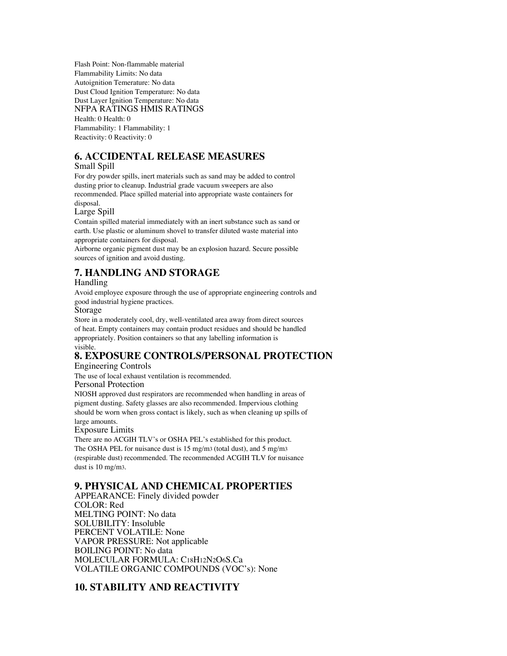Flash Point: Non-flammable material Flammability Limits: No data Autoignition Temerature: No data Dust Cloud Ignition Temperature: No data Dust Layer Ignition Temperature: No data NFPA RATINGS HMIS RATINGS Health: 0 Health: 0

Flammability: 1 Flammability: 1 Reactivity: 0 Reactivity: 0

#### **6. ACCIDENTAL RELEASE MEASURES**

#### Small Spill

For dry powder spills, inert materials such as sand may be added to control dusting prior to cleanup. Industrial grade vacuum sweepers are also recommended. Place spilled material into appropriate waste containers for disposal.

Large Spill

Contain spilled material immediately with an inert substance such as sand or earth. Use plastic or aluminum shovel to transfer diluted waste material into appropriate containers for disposal.

Airborne organic pigment dust may be an explosion hazard. Secure possible sources of ignition and avoid dusting.

## **7. HANDLING AND STORAGE**

#### Handling

Avoid employee exposure through the use of appropriate engineering controls and good industrial hygiene practices.

Storage

Store in a moderately cool, dry, well-ventilated area away from direct sources of heat. Empty containers may contain product residues and should be handled appropriately. Position containers so that any labelling information is visible.

## **8. EXPOSURE CONTROLS/PERSONAL PROTECTION**

Engineering Controls

The use of local exhaust ventilation is recommended.

Personal Protection

NIOSH approved dust respirators are recommended when handling in areas of pigment dusting. Safety glasses are also recommended. Impervious clothing should be worn when gross contact is likely, such as when cleaning up spills of large amounts.

#### Exposure Limits

There are no ACGIH TLV's or OSHA PEL's established for this product. The OSHA PEL for nuisance dust is 15 mg/m3 (total dust), and 5 mg/m3 (respirable dust) recommended. The recommended ACGIH TLV for nuisance dust is 10 mg/m3.

#### **9. PHYSICAL AND CHEMICAL PROPERTIES**

APPEARANCE: Finely divided powder COLOR: Red MELTING POINT: No data SOLUBILITY: Insoluble PERCENT VOLATILE: None VAPOR PRESSURE: Not applicable BOILING POINT: No data MOLECULAR FORMULA: C18H12N2O6S.Ca VOLATILE ORGANIC COMPOUNDS (VOC's): None

## **10. STABILITY AND REACTIVITY**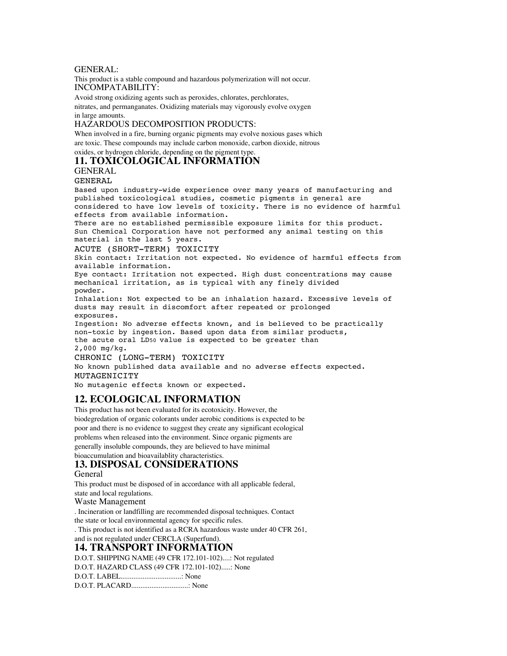#### GENERAL:

This product is a stable compound and hazardous polymerization will not occur. INCOMPATABILITY:

Avoid strong oxidizing agents such as peroxides, chlorates, perchlorates, nitrates, and permanganates. Oxidizing materials may vigorously evolve oxygen in large amounts.

#### HAZARDOUS DECOMPOSITION PRODUCTS:

When involved in a fire, burning organic pigments may evolve noxious gases which are toxic. These compounds may include carbon monoxide, carbon dioxide, nitrous oxides, or hydrogen chloride, depending on the pigment type.

#### **11. TOXICOLOGICAL INFORMATION**

GENERAL

#### GENERAL

Based upon industry-wide experience over many years of manufacturing and published toxicological studies, cosmetic pigments in general are considered to have low levels of toxicity. There is no evidence of harmful effects from available information.

There are no established permissible exposure limits for this product. Sun Chemical Corporation have not performed any animal testing on this material in the last 5 years.

ACUTE (SHORT-TERM) TOXICITY

Skin contact: Irritation not expected. No evidence of harmful effects from available information.

Eye contact: Irritation not expected. High dust concentrations may cause mechanical irritation, as is typical with any finely divided powder.

Inhalation: Not expected to be an inhalation hazard. Excessive levels of dusts may result in discomfort after repeated or prolonged exposures.

Ingestion: No adverse effects known, and is believed to be practically non-toxic by ingestion. Based upon data from similar products, the acute oral LD50 value is expected to be greater than 2,000 mg/kg.

CHRONIC (LONG-TERM) TOXICITY

No known published data available and no adverse effects expected. MUTAGENICITY

No mutagenic effects known or expected.

#### **12. ECOLOGICAL INFORMATION**

This product has not been evaluated for its ecotoxicity. However, the biodegredation of organic colorants under aerobic conditions is expected to be poor and there is no evidence to suggest they create any significant ecological problems when released into the environment. Since organic pigments are generally insoluble compounds, they are believed to have minimal bioaccumulation and bioavailablity characteristics.

## **13. DISPOSAL CONSIDERATIONS**

#### General

This product must be disposed of in accordance with all applicable federal, state and local regulations. Waste Management . Incineration or landfilling are recommended disposal techniques. Contact the state or local environmental agency for specific rules. . This product is not identified as a RCRA hazardous waste under 40 CFR 261, and is not regulated under CERCLA (Superfund).

## **14. TRANSPORT INFORMATION**

D.O.T. SHIPPING NAME (49 CFR 172.101-102)....: Not regulated

D.O.T. HAZARD CLASS (49 CFR 172.101-102).....: None

D.O.T. LABEL.................................: None

D.O.T. PLACARD...............................: None